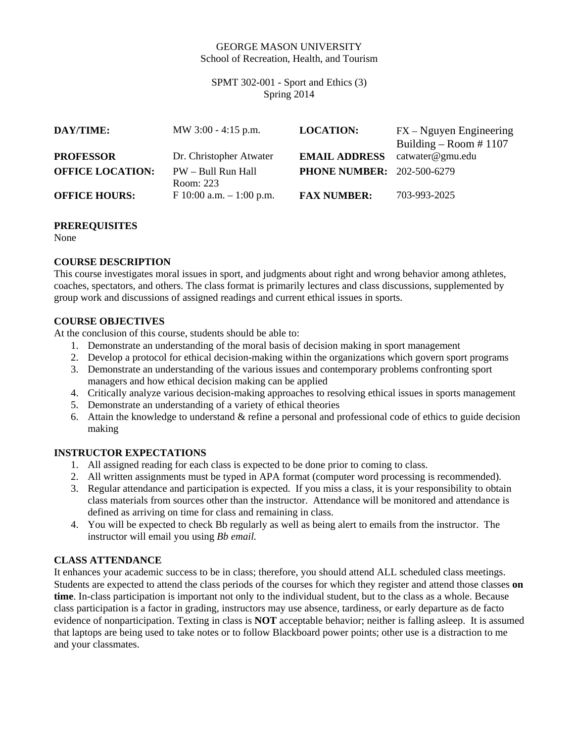### GEORGE MASON UNIVERSITY School of Recreation, Health, and Tourism

SPMT 302-001 - Sport and Ethics (3) Spring 2014

| DAY/TIME:               | MW $3:00 - 4:15$ p.m.           | <b>LOCATION:</b>                  | $FX - Nguyen$ Engineering<br>Building – Room #1107 |
|-------------------------|---------------------------------|-----------------------------------|----------------------------------------------------|
| <b>PROFESSOR</b>        | Dr. Christopher Atwater         | <b>EMAIL ADDRESS</b>              | catwater@gmu.edu                                   |
| <b>OFFICE LOCATION:</b> | PW - Bull Run Hall<br>Room: 223 | <b>PHONE NUMBER: 202-500-6279</b> |                                                    |
| <b>OFFICE HOURS:</b>    | F 10:00 a.m. $-1:00$ p.m.       | <b>FAX NUMBER:</b>                | 703-993-2025                                       |

#### **PREREQUISITES**

None

## **COURSE DESCRIPTION**

This course investigates moral issues in sport, and judgments about right and wrong behavior among athletes, coaches, spectators, and others. The class format is primarily lectures and class discussions, supplemented by group work and discussions of assigned readings and current ethical issues in sports.

## **COURSE OBJECTIVES**

At the conclusion of this course, students should be able to:

- 1. Demonstrate an understanding of the moral basis of decision making in sport management
- 2. Develop a protocol for ethical decision-making within the organizations which govern sport programs
- 3. Demonstrate an understanding of the various issues and contemporary problems confronting sport managers and how ethical decision making can be applied
- 4. Critically analyze various decision-making approaches to resolving ethical issues in sports management
- 5. Demonstrate an understanding of a variety of ethical theories
- 6. Attain the knowledge to understand & refine a personal and professional code of ethics to guide decision making

## **INSTRUCTOR EXPECTATIONS**

- 1. All assigned reading for each class is expected to be done prior to coming to class.
- 2. All written assignments must be typed in APA format (computer word processing is recommended).
- 3. Regular attendance and participation is expected. If you miss a class, it is your responsibility to obtain class materials from sources other than the instructor. Attendance will be monitored and attendance is defined as arriving on time for class and remaining in class.
- 4. You will be expected to check Bb regularly as well as being alert to emails from the instructor. The instructor will email you using *Bb email.*

### **CLASS ATTENDANCE**

It enhances your academic success to be in class; therefore, you should attend ALL scheduled class meetings. Students are expected to attend the class periods of the courses for which they register and attend those classes **on time**. In-class participation is important not only to the individual student, but to the class as a whole. Because class participation is a factor in grading, instructors may use absence, tardiness, or early departure as de facto evidence of nonparticipation. Texting in class is **NOT** acceptable behavior; neither is falling asleep. It is assumed that laptops are being used to take notes or to follow Blackboard power points; other use is a distraction to me and your classmates.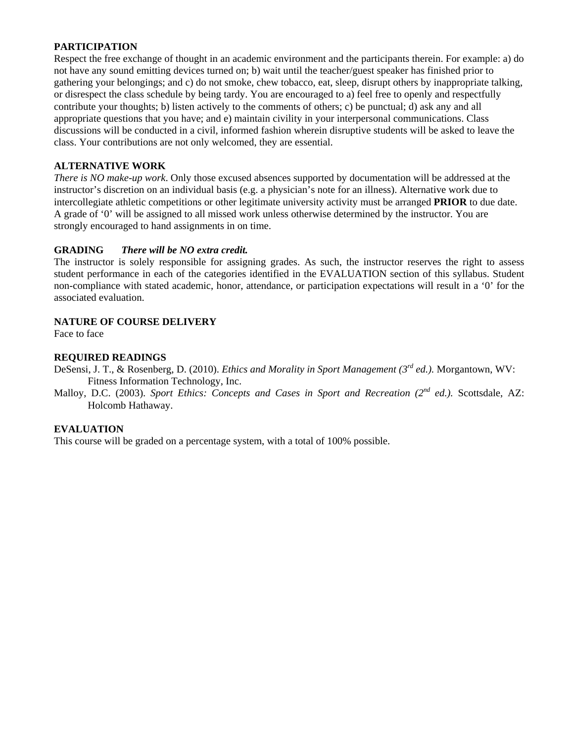### **PARTICIPATION**

Respect the free exchange of thought in an academic environment and the participants therein. For example: a) do not have any sound emitting devices turned on; b) wait until the teacher/guest speaker has finished prior to gathering your belongings; and c) do not smoke, chew tobacco, eat, sleep, disrupt others by inappropriate talking, or disrespect the class schedule by being tardy. You are encouraged to a) feel free to openly and respectfully contribute your thoughts; b) listen actively to the comments of others; c) be punctual; d) ask any and all appropriate questions that you have; and e) maintain civility in your interpersonal communications. Class discussions will be conducted in a civil, informed fashion wherein disruptive students will be asked to leave the class. Your contributions are not only welcomed, they are essential.

### **ALTERNATIVE WORK**

*There is NO make-up work*. Only those excused absences supported by documentation will be addressed at the instructor's discretion on an individual basis (e.g. a physician's note for an illness). Alternative work due to intercollegiate athletic competitions or other legitimate university activity must be arranged **PRIOR** to due date. A grade of '0' will be assigned to all missed work unless otherwise determined by the instructor. You are strongly encouraged to hand assignments in on time.

### **GRADING** *There will be NO extra credit.*

The instructor is solely responsible for assigning grades. As such, the instructor reserves the right to assess student performance in each of the categories identified in the EVALUATION section of this syllabus. Student non-compliance with stated academic, honor, attendance, or participation expectations will result in a '0' for the associated evaluation.

### **NATURE OF COURSE DELIVERY**

Face to face

### **REQUIRED READINGS**

DeSensi, J. T., & Rosenberg, D. (2010). *Ethics and Morality in Sport Management (3rd ed.).* Morgantown, WV: Fitness Information Technology, Inc.

Malloy, D.C. (2003). *Sport Ethics: Concepts and Cases in Sport and Recreation (2nd ed.).* Scottsdale, AZ: Holcomb Hathaway.

## **EVALUATION**

This course will be graded on a percentage system, with a total of 100% possible.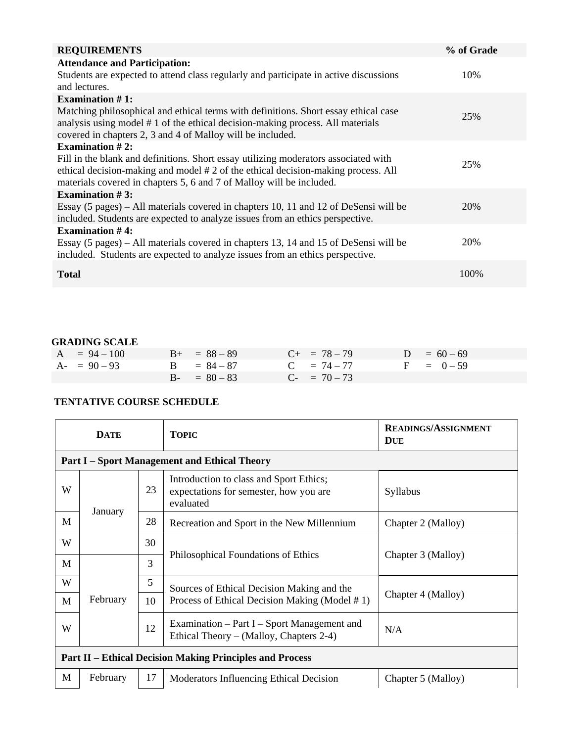| <b>REQUIREMENTS</b>                                                                                                                                                  | % of Grade |
|----------------------------------------------------------------------------------------------------------------------------------------------------------------------|------------|
| <b>Attendance and Participation:</b>                                                                                                                                 |            |
| Students are expected to attend class regularly and participate in active discussions                                                                                | 10%        |
| and lectures.                                                                                                                                                        |            |
| Examination $#1$ :                                                                                                                                                   |            |
| Matching philosophical and ethical terms with definitions. Short essay ethical case<br>analysis using model #1 of the ethical decision-making process. All materials | 25%        |
| covered in chapters 2, 3 and 4 of Malloy will be included.                                                                                                           |            |
| Examination $#2$ :                                                                                                                                                   |            |
| Fill in the blank and definitions. Short essay utilizing moderators associated with                                                                                  | 25%        |
| ethical decision-making and model #2 of the ethical decision-making process. All                                                                                     |            |
| materials covered in chapters 5, 6 and 7 of Malloy will be included.                                                                                                 |            |
| Examination $#3$ :                                                                                                                                                   |            |
| Essay (5 pages) – All materials covered in chapters 10, 11 and 12 of DeSensi will be                                                                                 | 20%        |
| included. Students are expected to analyze issues from an ethics perspective.                                                                                        |            |
| Examination $#4$ :                                                                                                                                                   |            |
| Essay (5 pages) – All materials covered in chapters 13, 14 and 15 of DeSensi will be                                                                                 | 20%        |
| included. Students are expected to analyze issues from an ethics perspective.                                                                                        |            |
|                                                                                                                                                                      |            |
| <b>Total</b>                                                                                                                                                         | 100%       |

# **GRADING SCALE**

| $A = 94 - 100$ | $B_{+} = 88 - 89$ | $C_{+}$ = 78 - 79 | $D = 60 - 69$ |
|----------------|-------------------|-------------------|---------------|
| $A - 90 - 93$  | $B = 84 - 87$     | $C = 74 - 77$     | $F = 0-59$    |
|                | $B - = 80 - 83$   | $C_{-}$ = 70 – 73 |               |

# **TENTATIVE COURSE SCHEDULE**

| <b>DATE</b>                                                     |                                                     |    | <b>TOPIC</b>                                                                                   | <b>READINGS/ASSIGNMENT</b><br><b>DUE</b> |  |  |
|-----------------------------------------------------------------|-----------------------------------------------------|----|------------------------------------------------------------------------------------------------|------------------------------------------|--|--|
|                                                                 | <b>Part I – Sport Management and Ethical Theory</b> |    |                                                                                                |                                          |  |  |
| W                                                               |                                                     | 23 | Introduction to class and Sport Ethics;<br>expectations for semester, how you are<br>evaluated | Syllabus                                 |  |  |
| M                                                               | January                                             | 28 | Recreation and Sport in the New Millennium                                                     | Chapter 2 (Malloy)                       |  |  |
| W                                                               |                                                     | 30 |                                                                                                |                                          |  |  |
| M                                                               | February                                            | 3  | Philosophical Foundations of Ethics                                                            | Chapter 3 (Malloy)                       |  |  |
| W                                                               |                                                     | 5  | Sources of Ethical Decision Making and the                                                     |                                          |  |  |
| M                                                               |                                                     | 10 | Process of Ethical Decision Making (Model #1)                                                  | Chapter 4 (Malloy)                       |  |  |
| W                                                               |                                                     | 12 | Examination – Part I – Sport Management and<br>Ethical Theory – (Malloy, Chapters 2-4)         | N/A                                      |  |  |
| <b>Part II – Ethical Decision Making Principles and Process</b> |                                                     |    |                                                                                                |                                          |  |  |
| M                                                               | February                                            | 17 | Moderators Influencing Ethical Decision                                                        | Chapter 5 (Malloy)                       |  |  |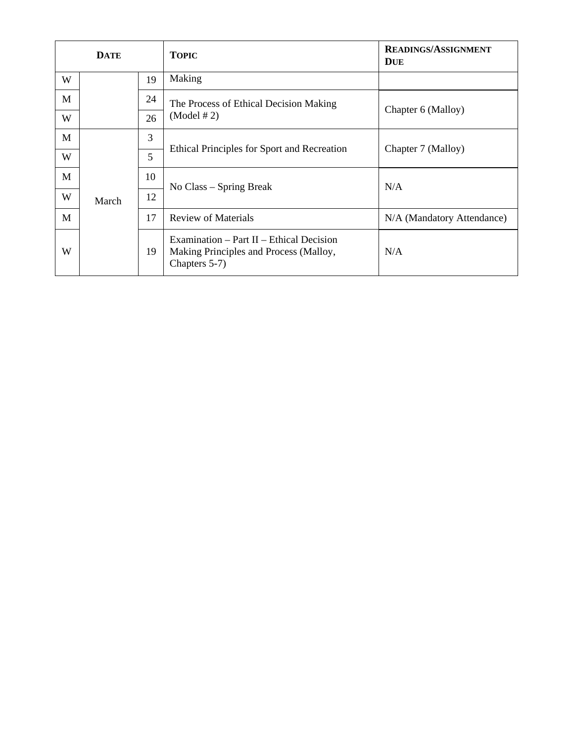| <b>DATE</b> |       |    | <b>TOPIC</b>                                                                                        | <b>READINGS/ASSIGNMENT</b><br><b>DUE</b> |
|-------------|-------|----|-----------------------------------------------------------------------------------------------------|------------------------------------------|
| W           |       | 19 | Making                                                                                              |                                          |
| M           |       | 24 | The Process of Ethical Decision Making                                                              | Chapter 6 (Malloy)                       |
| W           |       | 26 | (Model # 2)                                                                                         |                                          |
| M           |       | 3  |                                                                                                     |                                          |
| W           |       | 5  | Ethical Principles for Sport and Recreation                                                         | Chapter 7 (Malloy)                       |
| M           |       | 10 |                                                                                                     | N/A                                      |
| W           | March | 12 | No Class – Spring Break                                                                             |                                          |
| M           |       | 17 | <b>Review of Materials</b>                                                                          | N/A (Mandatory Attendance)               |
| W           |       | 19 | Examination – Part II – Ethical Decision<br>Making Principles and Process (Malloy,<br>Chapters 5-7) | N/A                                      |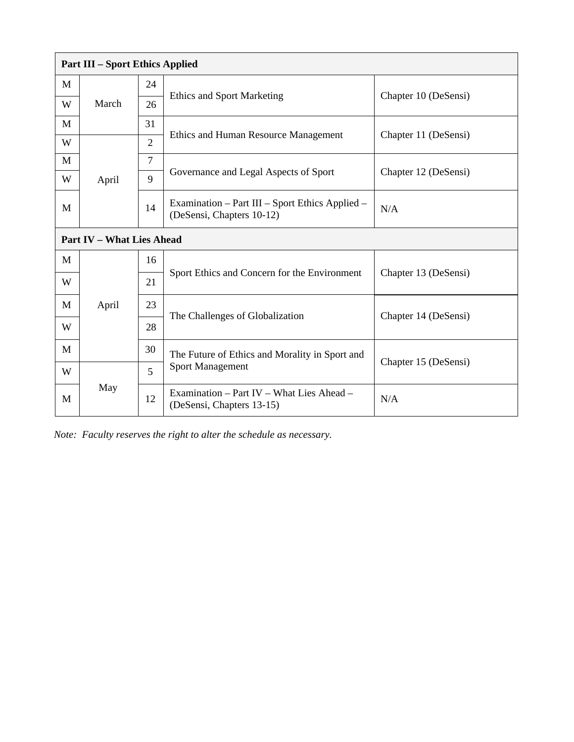| <b>Part III – Sport Ethics Applied</b> |                                  |                |                                                                              |                      |  |  |  |
|----------------------------------------|----------------------------------|----------------|------------------------------------------------------------------------------|----------------------|--|--|--|
| M                                      |                                  | 24             |                                                                              |                      |  |  |  |
| W                                      | March                            | 26             | <b>Ethics and Sport Marketing</b>                                            | Chapter 10 (DeSensi) |  |  |  |
| M                                      |                                  | 31             |                                                                              | Chapter 11 (DeSensi) |  |  |  |
| W                                      |                                  | $\overline{2}$ | Ethics and Human Resource Management                                         |                      |  |  |  |
| M                                      |                                  | $\tau$         | Governance and Legal Aspects of Sport                                        |                      |  |  |  |
| W                                      | April                            | 9              |                                                                              | Chapter 12 (DeSensi) |  |  |  |
| M                                      |                                  | 14             | Examination – Part III – Sport Ethics Applied –<br>(DeSensi, Chapters 10-12) | N/A                  |  |  |  |
|                                        | <b>Part IV - What Lies Ahead</b> |                |                                                                              |                      |  |  |  |
| M                                      |                                  | 16             |                                                                              |                      |  |  |  |
| W                                      |                                  | 21             | Sport Ethics and Concern for the Environment                                 | Chapter 13 (DeSensi) |  |  |  |
| M                                      | April                            | 23             | The Challenges of Globalization                                              | Chapter 14 (DeSensi) |  |  |  |
| W                                      |                                  | 28             |                                                                              |                      |  |  |  |
| M                                      |                                  | 30             | The Future of Ethics and Morality in Sport and                               |                      |  |  |  |
| W                                      |                                  | 5              | <b>Sport Management</b>                                                      | Chapter 15 (DeSensi) |  |  |  |
| M                                      | May                              | 12             | Examination – Part IV – What Lies Ahead –<br>(DeSensi, Chapters 13-15)       | N/A                  |  |  |  |

*Note: Faculty reserves the right to alter the schedule as necessary.*